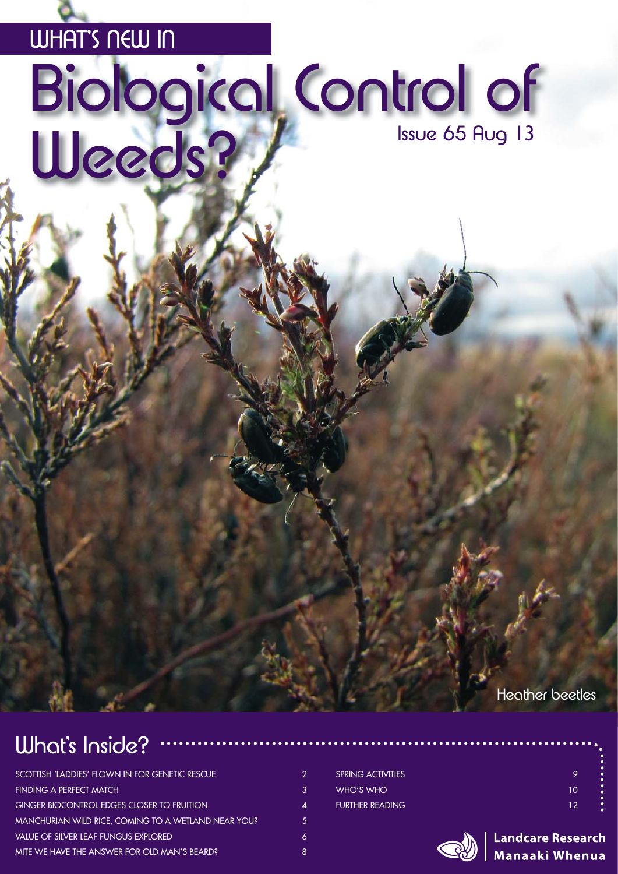### WHAT'S NEW IN

# Biological Control of Ueeds?

Heather beetles

### What's Inside?

| SCOTTISH 'LADDIES' FLOWN IN FOR GENETIC RESCUE      | 2 |
|-----------------------------------------------------|---|
| <b>FINDING A PERFECT MATCH</b>                      | 3 |
| <b>GINGER BIOCONTROL EDGES CLOSER TO FRUITION</b>   | Δ |
| MANCHURIAN WILD RICE, COMING TO A WETLAND NEAR YOU? | 5 |
| <b>VALUE OF SILVER LEAF FUNGUS EXPLORED</b>         | 6 |
| MITE WE HAVE THE ANSWER FOR OLD MAN'S BEARD?        | 8 |

| <b>SPRING ACTIVITIES</b> | ç  |
|--------------------------|----|
| WHO'S WHO                | 10 |
| <b>FURTHER READING.</b>  | 12 |

|    | . .       |
|----|-----------|
|    | ö         |
|    | ō         |
| 9  | ٠         |
|    | ō         |
|    | ٠         |
| 10 | $\bullet$ |
|    | ٠         |
| 12 | $\bullet$ |
|    |           |

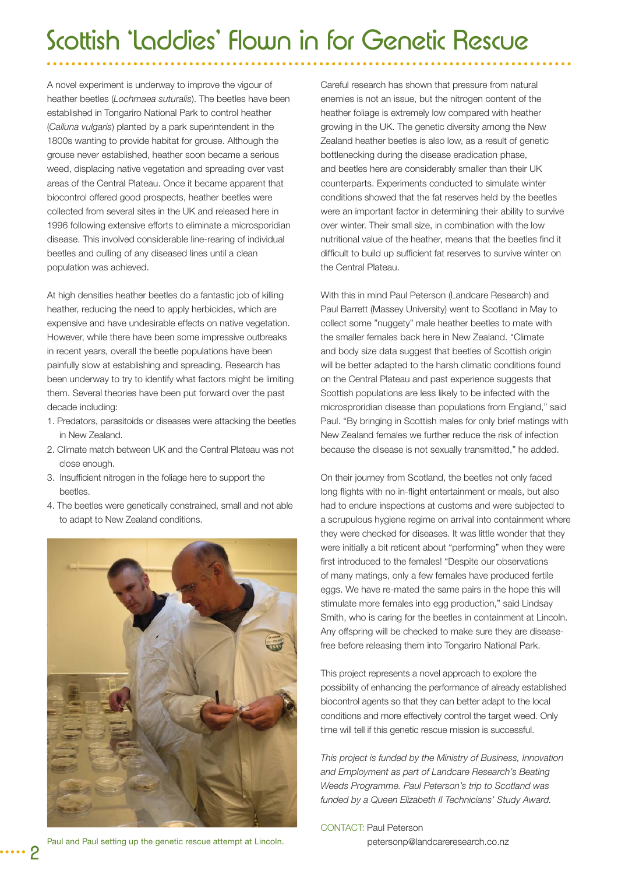# Scottish 'Laddies' Flown in for Genetic Rescue

A novel experiment is underway to improve the vigour of heather beetles (*Lochmaea suturalis*). The beetles have been established in Tongariro National Park to control heather (*Calluna vulgaris*) planted by a park superintendent in the 1800s wanting to provide habitat for grouse. Although the grouse never established, heather soon became a serious weed, displacing native vegetation and spreading over vast areas of the Central Plateau. Once it became apparent that biocontrol offered good prospects, heather beetles were collected from several sites in the UK and released here in 1996 following extensive efforts to eliminate a microsporidian disease. This involved considerable line-rearing of individual beetles and culling of any diseased lines until a clean population was achieved.

At high densities heather beetles do a fantastic job of killing heather, reducing the need to apply herbicides, which are expensive and have undesirable effects on native vegetation. However, while there have been some impressive outbreaks in recent years, overall the beetle populations have been painfully slow at establishing and spreading. Research has been underway to try to identify what factors might be limiting them. Several theories have been put forward over the past decade including:

- 1. Predators, parasitoids or diseases were attacking the beetles in New Zealand.
- 2. Climate match between UK and the Central Plateau was not close enough.
- 3. Insufficient nitrogen in the foliage here to support the beetles.
- 4. The beetles were genetically constrained, small and not able to adapt to New Zealand conditions.



Careful research has shown that pressure from natural enemies is not an issue, but the nitrogen content of the heather foliage is extremely low compared with heather growing in the UK. The genetic diversity among the New Zealand heather beetles is also low, as a result of genetic bottlenecking during the disease eradication phase, and beetles here are considerably smaller than their UK counterparts. Experiments conducted to simulate winter conditions showed that the fat reserves held by the beetles were an important factor in determining their ability to survive over winter. Their small size, in combination with the low nutritional value of the heather, means that the beetles find it difficult to build up sufficient fat reserves to survive winter on the Central Plateau.

With this in mind Paul Peterson (Landcare Research) and Paul Barrett (Massey University) went to Scotland in May to collect some "nuggety" male heather beetles to mate with the smaller females back here in New Zealand. "Climate and body size data suggest that beetles of Scottish origin will be better adapted to the harsh climatic conditions found on the Central Plateau and past experience suggests that Scottish populations are less likely to be infected with the microsproridian disease than populations from England," said Paul. "By bringing in Scottish males for only brief matings with New Zealand females we further reduce the risk of infection because the disease is not sexually transmitted," he added.

On their journey from Scotland, the beetles not only faced long flights with no in-flight entertainment or meals, but also had to endure inspections at customs and were subjected to a scrupulous hygiene regime on arrival into containment where they were checked for diseases. It was little wonder that they were initially a bit reticent about "performing" when they were first introduced to the females! "Despite our observations of many matings, only a few females have produced fertile eggs. We have re-mated the same pairs in the hope this will stimulate more females into egg production," said Lindsay Smith, who is caring for the beetles in containment at Lincoln. Any offspring will be checked to make sure they are diseasefree before releasing them into Tongariro National Park.

This project represents a novel approach to explore the possibility of enhancing the performance of already established biocontrol agents so that they can better adapt to the local conditions and more effectively control the target weed. Only time will tell if this genetic rescue mission is successful.

*This project is funded by the Ministry of Business, Innovation and Employment as part of Landcare Research's Beating Weeds Programme. Paul Peterson's trip to Scotland was funded by a Queen Elizabeth II Technicians' Study Award.*

CONTACT: Paul Peterson [petersonp@landcareresearch.co.nz](Mailto:petersonp@landcareresearch.co.nz)

Paul and Paul setting up the genetic rescue attempt at Lincoln.

2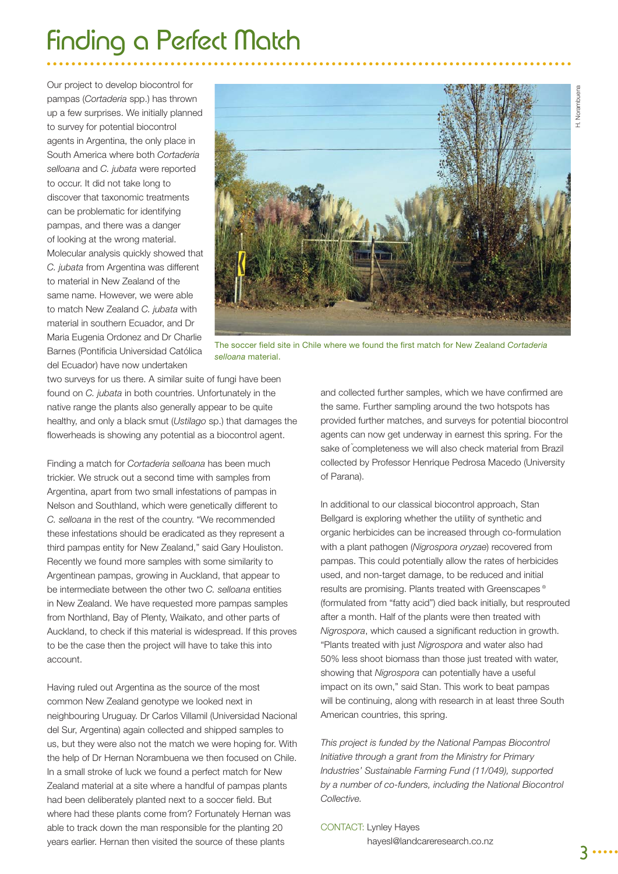# Finding a Perfect Match

Our project to develop biocontrol for pampas (*Cortaderia* spp.) has thrown up a few surprises. We initially planned to survey for potential biocontrol agents in Argentina, the only place in South America where both *Cortaderia selloana* and *C. jubata* were reported to occur. It did not take long to discover that taxonomic treatments can be problematic for identifying pampas, and there was a danger of looking at the wrong material. Molecular analysis quickly showed that *C. jubata* from Argentina was different to material in New Zealand of the same name. However, we were able to match New Zealand *C. jubata* with material in southern Ecuador, and Dr Maria Eugenia Ordonez and Dr Charlie Barnes (Pontificia Universidad Católica del Ecuador) have now undertaken



The soccer field site in Chile where we found the first match for New Zealand *Cortaderia selloana* material.

two surveys for us there. A similar suite of fungi have been found on *C. jubata* in both countries. Unfortunately in the native range the plants also generally appear to be quite healthy, and only a black smut (*Ustilago* sp.) that damages the flowerheads is showing any potential as a biocontrol agent.

Finding a match for *Cortaderia selloana* has been much trickier. We struck out a second time with samples from Argentina, apart from two small infestations of pampas in Nelson and Southland, which were genetically different to *C. selloana* in the rest of the country. "We recommended these infestations should be eradicated as they represent a third pampas entity for New Zealand," said Gary Houliston. Recently we found more samples with some similarity to Argentinean pampas, growing in Auckland, that appear to be intermediate between the other two *C. selloana* entities in New Zealand. We have requested more pampas samples from Northland, Bay of Plenty, Waikato, and other parts of Auckland, to check if this material is widespread. If this proves to be the case then the project will have to take this into account.

Having ruled out Argentina as the source of the most common New Zealand genotype we looked next in neighbouring Uruguay. Dr Carlos Villamil (Universidad Nacional del Sur, Argentina) again collected and shipped samples to us, but they were also not the match we were hoping for. With the help of Dr Hernan Norambuena we then focused on Chile. In a small stroke of luck we found a perfect match for New Zealand material at a site where a handful of pampas plants had been deliberately planted next to a soccer field. But where had these plants come from? Fortunately Hernan was able to track down the man responsible for the planting 20 years earlier. Hernan then visited the source of these plants

and collected further samples, which we have confirmed are the same. Further sampling around the two hotspots has provided further matches, and surveys for potential biocontrol agents can now get underway in earnest this spring. For the sake of completeness we will also check material from Brazil collected by Professor Henrique Pedrosa Macedo (University of Parana).

In additional to our classical biocontrol approach, Stan Bellgard is exploring whether the utility of synthetic and organic herbicides can be increased through co-formulation with a plant pathogen (*Nigrospora oryzae*) recovered from pampas. This could potentially allow the rates of herbicides used, and non-target damage, to be reduced and initial results are promising. Plants treated with Greenscapes<sup>®</sup> (formulated from "fatty acid") died back initially, but resprouted after a month. Half of the plants were then treated with *Nigrospora*, which caused a significant reduction in growth. "Plants treated with just *Nigrospora* and water also had 50% less shoot biomass than those just treated with water, showing that *Nigrospora* can potentially have a useful impact on its own," said Stan. This work to beat pampas will be continuing, along with research in at least three South American countries, this spring.

*This project is funded by the National Pampas Biocontrol Initiative through a grant from the Ministry for Primary Industries' Sustainable Farming Fund (11/049), supported by a number of co-funders, including the National Biocontrol Collective.*

#### CONTACT: Lynley Hayes

[hayesl@landcareresearch.co.nz](Mailto:hayesl@landcareresearch.co.nz)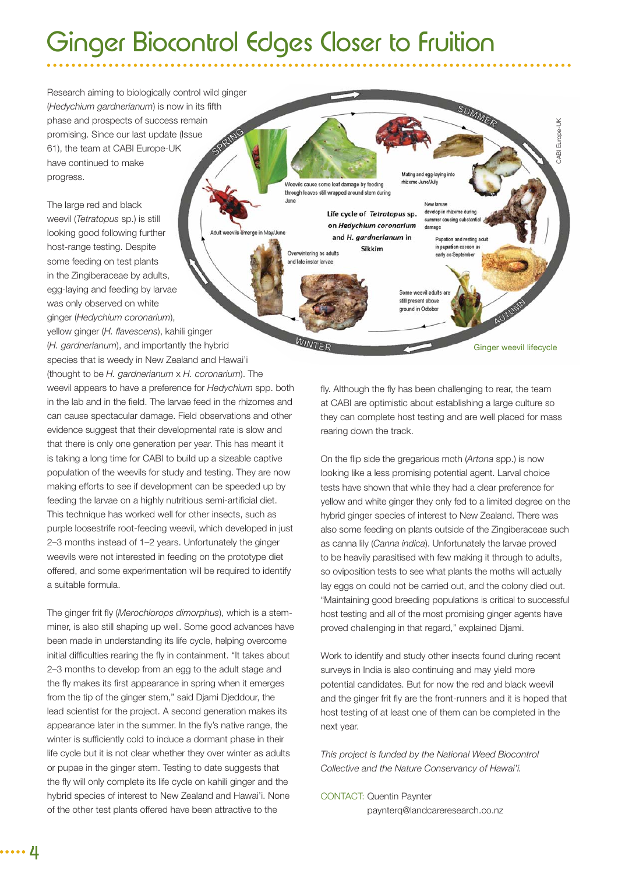# Ginger Biocontrol Edges Closer to Fruition

Research aiming to biologically control wild ginger (Hedychium gardnerianum) is now in its fifth phase and prospects of success remain promising. Since our last update (Issue 61), the team at CABI Europe-UK have continued to make progress.

The large red and black weevil (*Tetratopus* sp.) is still looking good following further May/June host-range testing. Despite some feeding on test plants in the Zingiberaceae by adults, egg-laying and feeding by larvae was only observed on white ginger (*Hedychium coronarium*), yellow ginger (*H. flavescens*), kahili ginger (*H. gardnerianum*), and importantly the hybrid species that is weedy in New Zealand and Hawai'i (thought to be *H. gardnerianum* x *H. coronarium*). The weevil appears to have a preference for *Hedychium* spp. both in the lab and in the field. The larvae feed in the rhizomes and can cause spectacular damage. Field observations and other evidence suggest that their developmental rate is slow and that there is only one generation per year. This has meant it is taking a long time for CABI to build up a sizeable captive population of the weevils for study and testing. They are now making efforts to see if development can be speeded up by feeding the larvae on a highly nutritious semi-artificial diet. This technique has worked well for other insects, such as purple loosestrife root-feeding weevil, which developed in just 2–3 months instead of 1–2 years. Unfortunately the ginger weevils were not interested in feeding on the prototype diet offered, and some experimentation will be required to identify a suitable formula.

The ginger frit fly (Merochlorops dimorphus), which is a stemminer, is also still shaping up well. Some good advances have been made in understanding its life cycle, helping overcome initial difficulties rearing the fly in containment. "It takes about 2–3 months to develop from an egg to the adult stage and the fly makes its first appearance in spring when it emerges from the tip of the ginger stem," said Djami Djeddour, the lead scientist for the project. A second generation makes its appearance later in the summer. In the fly's native range, the winter is sufficiently cold to induce a dormant phase in their life cycle but it is not clear whether they over winter as adults or pupae in the ginger stem. Testing to date suggests that the fly will only complete its life cycle on kahili ginger and the hybrid species of interest to New Zealand and Hawai'i. None of the other test plants offered have been attractive to the

SUMMER CABI Europe-UK CABI Europe-UK Mating and egg-laying rhizome June/July Weevils cause some leaf damage by feeding through leaves still wrapped around stem during June New larvae develop in rhizome during Life cycle of Tetratopus sp. summer causing substantia on Hedychium coronarium damage and H, gardnerianum in Pupation and resting adult in pupation cocoon Sikkim Overwintering as adults early as September and late instar larvae Some weevil adults ar still present above ground in Octobe WINTER Ginger weevil lifecycle

> fly. Although the fly has been challenging to rear, the team at CABI are optimistic about establishing a large culture so they can complete host testing and are well placed for mass rearing down the track.

On the flip side the gregarious moth (*Artona* spp.) is now looking like a less promising potential agent. Larval choice tests have shown that while they had a clear preference for yellow and white ginger they only fed to a limited degree on the hybrid ginger species of interest to New Zealand. There was also some feeding on plants outside of the Zingiberaceae such as canna lily (*Canna indica*). Unfortunately the larvae proved to be heavily parasitised with few making it through to adults, so oviposition tests to see what plants the moths will actually lay eggs on could not be carried out, and the colony died out. "Maintaining good breeding populations is critical to successful host testing and all of the most promising ginger agents have proved challenging in that regard," explained Djami.

Work to identify and study other insects found during recent surveys in India is also continuing and may yield more potential candidates. But for now the red and black weevil and the ginger frit fly are the front-runners and it is hoped that host testing of at least one of them can be completed in the next year.

*This project is funded by the National Weed Biocontrol Collective and the Nature Conservancy of Hawai'i.*

CONTACT: Quentin Paynter p[aynterq@landcareresearch.co.nz](mailto:paynterq@landcareresearch.co.nz)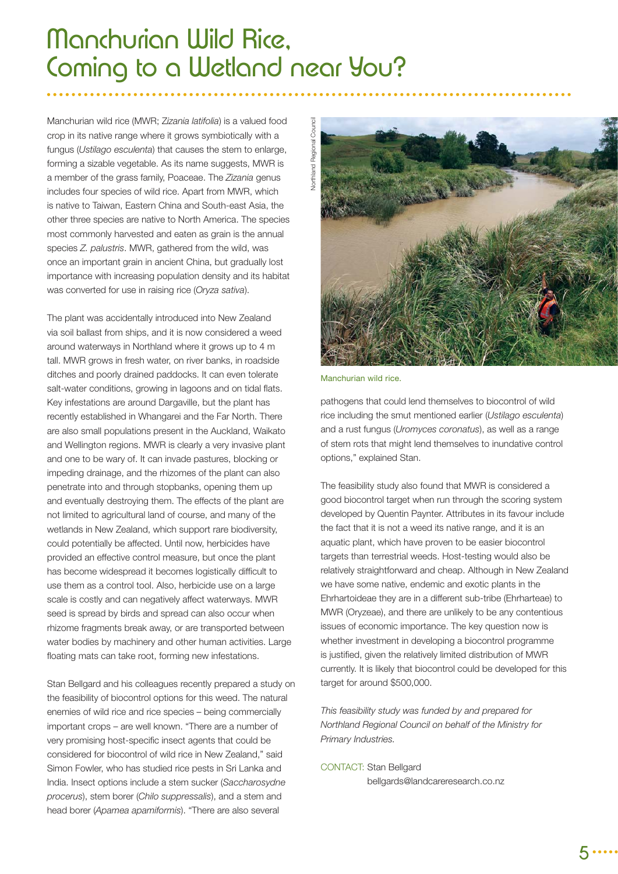# Manchurian Wild Rice, Coming to a Wetland near You?

Manchurian wild rice (MWR; Z*izania latifolia*) is a valued food crop in its native range where it grows symbiotically with a fungus (*Ustilago esculenta*) that causes the stem to enlarge, forming a sizable vegetable. As its name suggests, MWR is a member of the grass family, Poaceae. The *Zizania* genus includes four species of wild rice. Apart from MWR, which is native to Taiwan, Eastern China and South-east Asia, the other three species are native to North America. The species most commonly harvested and eaten as grain is the annual species *Z. palustris*. MWR, gathered from the wild, was once an important grain in ancient China, but gradually lost importance with increasing population density and its habitat was converted for use in raising rice (*Oryza sativa*).

The plant was accidentally introduced into New Zealand via soil ballast from ships, and it is now considered a weed around waterways in Northland where it grows up to 4 m tall. MWR grows in fresh water, on river banks, in roadside ditches and poorly drained paddocks. It can even tolerate salt-water conditions, growing in lagoons and on tidal flats. Key infestations are around Dargaville, but the plant has recently established in Whangarei and the Far North. There are also small populations present in the Auckland, Waikato and Wellington regions. MWR is clearly a very invasive plant and one to be wary of. It can invade pastures, blocking or impeding drainage, and the rhizomes of the plant can also penetrate into and through stopbanks, opening them up and eventually destroying them. The effects of the plant are not limited to agricultural land of course, and many of the wetlands in New Zealand, which support rare biodiversity, could potentially be affected. Until now, herbicides have provided an effective control measure, but once the plant has become widespread it becomes logistically difficult to use them as a control tool. Also, herbicide use on a large scale is costly and can negatively affect waterways. MWR seed is spread by birds and spread can also occur when rhizome fragments break away, or are transported between water bodies by machinery and other human activities. Large floating mats can take root, forming new infestations.

Stan Bellgard and his colleagues recently prepared a study on the feasibility of biocontrol options for this weed. The natural enemies of wild rice and rice species – being commercially important crops – are well known. "There are a number of very promising host-specific insect agents that could be considered for biocontrol of wild rice in New Zealand," said Simon Fowler, who has studied rice pests in Sri Lanka and India. Insect options include a stem sucker (*Saccharosydne procerus*), stem borer (*Chilo suppressalis*), and a stem and head borer (*Apamea apamiformis*). "There are also several



Manchurian wild rice.

pathogens that could lend themselves to biocontrol of wild rice including the smut mentioned earlier (*Ustilago esculenta*) and a rust fungus (*Uromyces coronatus*), as well as a range of stem rots that might lend themselves to inundative control options," explained Stan.

The feasibility study also found that MWR is considered a good biocontrol target when run through the scoring system developed by Quentin Paynter. Attributes in its favour include the fact that it is not a weed its native range, and it is an aquatic plant, which have proven to be easier biocontrol targets than terrestrial weeds. Host-testing would also be relatively straightforward and cheap. Although in New Zealand we have some native, endemic and exotic plants in the Ehrhartoideae they are in a different sub-tribe (Ehrharteae) to MWR (Oryzeae), and there are unlikely to be any contentious issues of economic importance. The key question now is whether investment in developing a biocontrol programme is justified, given the relatively limited distribution of MWR currently. It is likely that biocontrol could be developed for this target for around \$500,000.

*This feasibility study was funded by and prepared for Northland Regional Council on behalf of the Ministry for Primary Industries.*

CONTACT: Stan Bellgard

[bellgards@landcareresearch.co.nz](mailto:bellgards@landcareresearch.co.nz)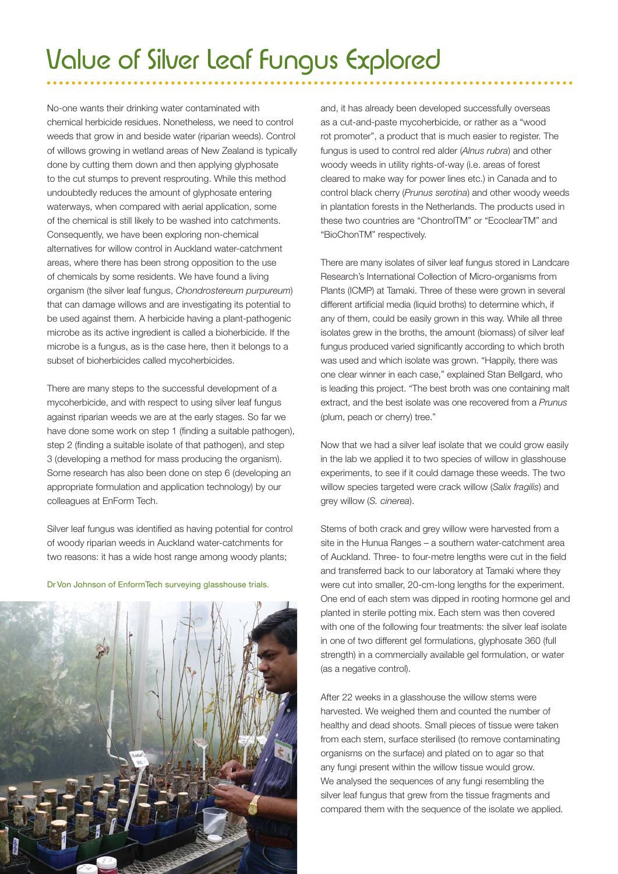# Value of Silver Leaf Fungus Explored

No-one wants their drinking water contaminated with chemical herbicide residues. Nonetheless, we need to control weeds that grow in and beside water (riparian weeds). Control of willows growing in wetland areas of New Zealand is typically done by cutting them down and then applying glyphosate to the cut stumps to prevent resprouting. While this method undoubtedly reduces the amount of glyphosate entering waterways, when compared with aerial application, some of the chemical is still likely to be washed into catchments. Consequently, we have been exploring non-chemical alternatives for willow control in Auckland water-catchment areas, where there has been strong opposition to the use of chemicals by some residents. We have found a living organism (the silver leaf fungus, *Chondrostereum purpureum*) that can damage willows and are investigating its potential to be used against them. A herbicide having a plant-pathogenic microbe as its active ingredient is called a bioherbicide. If the microbe is a fungus, as is the case here, then it belongs to a subset of bioherbicides called mycoherbicides.

There are many steps to the successful development of a mycoherbicide, and with respect to using silver leaf fungus against riparian weeds we are at the early stages. So far we have done some work on step 1 (finding a suitable pathogen), step 2 (finding a suitable isolate of that pathogen), and step 3 (developing a method for mass producing the organism). Some research has also been done on step 6 (developing an appropriate formulation and application technology) by our colleagues at EnForm Tech.

Silver leaf fungus was identified as having potential for control of woody riparian weeds in Auckland water-catchments for two reasons: it has a wide host range among woody plants;



Dr Von Johnson of EnformTech surveying glasshouse trials.

and, it has already been developed successfully overseas as a cut-and-paste mycoherbicide, or rather as a "wood rot promoter", a product that is much easier to register. The fungus is used to control red alder (*Alnus rubra*) and other woody weeds in utility rights-of-way (i.e. areas of forest cleared to make way for power lines etc.) in Canada and to control black cherry (*Prunus serotina*) and other woody weeds in plantation forests in the Netherlands. The products used in these two countries are "ChontrolTM" or "EcoclearTM" and "BioChonTM" respectively.

There are many isolates of silver leaf fungus stored in Landcare Research's International Collection of Micro-organisms from Plants (ICMP) at Tamaki. Three of these were grown in several different artificial media (liquid broths) to determine which, if any of them, could be easily grown in this way. While all three isolates grew in the broths, the amount (biomass) of silver leaf fungus produced varied significantly according to which broth was used and which isolate was grown. "Happily, there was one clear winner in each case," explained Stan Bellgard, who is leading this project. "The best broth was one containing malt extract, and the best isolate was one recovered from a *Prunus* (plum, peach or cherry) tree."

Now that we had a silver leaf isolate that we could grow easily in the lab we applied it to two species of willow in glasshouse experiments, to see if it could damage these weeds. The two willow species targeted were crack willow (*Salix fragilis*) and grey willow (*S. cinerea*).

Stems of both crack and grey willow were harvested from a site in the Hunua Ranges – a southern water-catchment area of Auckland. Three- to four-metre lengths were cut in the field and transferred back to our laboratory at Tamaki where they were cut into smaller, 20-cm-long lengths for the experiment. One end of each stem was dipped in rooting hormone gel and planted in sterile potting mix. Each stem was then covered with one of the following four treatments: the silver leaf isolate in one of two different gel formulations, glyphosate 360 (full strength) in a commercially available gel formulation, or water (as a negative control).

After 22 weeks in a glasshouse the willow stems were harvested. We weighed them and counted the number of healthy and dead shoots. Small pieces of tissue were taken from each stem, surface sterilised (to remove contaminating organisms on the surface) and plated on to agar so that any fungi present within the willow tissue would grow. We analysed the sequences of any fungi resembling the silver leaf fungus that grew from the tissue fragments and compared them with the sequence of the isolate we applied.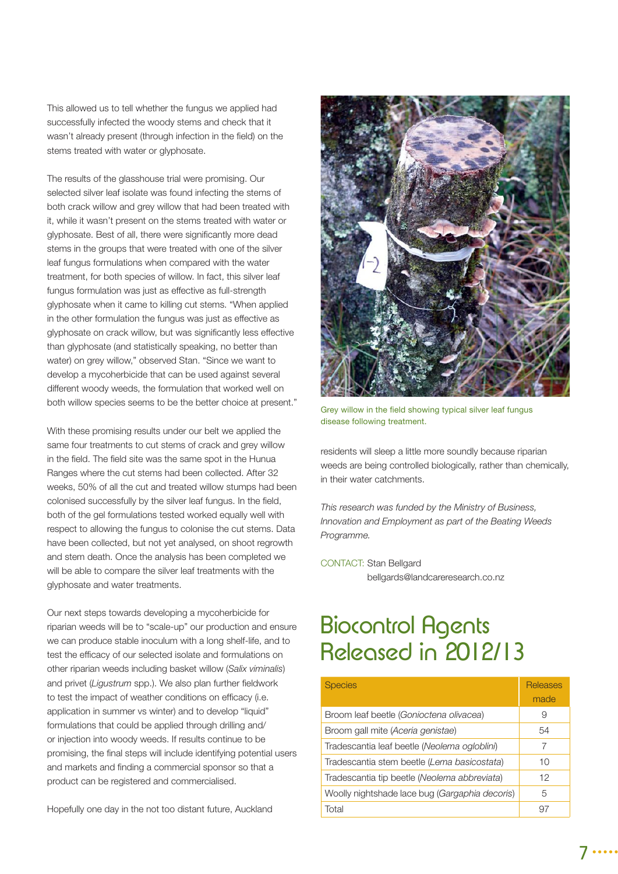This allowed us to tell whether the fungus we applied had successfully infected the woody stems and check that it wasn't already present (through infection in the field) on the stems treated with water or glyphosate.

The results of the glasshouse trial were promising. Our selected silver leaf isolate was found infecting the stems of both crack willow and grey willow that had been treated with it, while it wasn't present on the stems treated with water or glyphosate. Best of all, there were significantly more dead stems in the groups that were treated with one of the silver leaf fungus formulations when compared with the water treatment, for both species of willow. In fact, this silver leaf fungus formulation was just as effective as full-strength glyphosate when it came to killing cut stems. "When applied in the other formulation the fungus was just as effective as glyphosate on crack willow, but was significantly less effective than glyphosate (and statistically speaking, no better than water) on grey willow," observed Stan. "Since we want to develop a mycoherbicide that can be used against several different woody weeds, the formulation that worked well on both willow species seems to be the better choice at present."

With these promising results under our belt we applied the same four treatments to cut stems of crack and grey willow in the field. The field site was the same spot in the Hunua Ranges where the cut stems had been collected. After 32 weeks, 50% of all the cut and treated willow stumps had been colonised successfully by the silver leaf fungus. In the field, both of the gel formulations tested worked equally well with respect to allowing the fungus to colonise the cut stems. Data have been collected, but not yet analysed, on shoot regrowth and stem death. Once the analysis has been completed we will be able to compare the silver leaf treatments with the glyphosate and water treatments.

Our next steps towards developing a mycoherbicide for riparian weeds will be to "scale-up" our production and ensure we can produce stable inoculum with a long shelf-life, and to test the efficacy of our selected isolate and formulations on other riparian weeds including basket willow (*Salix viminalis*) and privet (Ligustrum spp.). We also plan further fieldwork to test the impact of weather conditions on efficacy (i.e. application in summer vs winter) and to develop "liquid" formulations that could be applied through drilling and/ or injection into woody weeds. If results continue to be promising, the final steps will include identifying potential users and markets and finding a commercial sponsor so that a product can be registered and commercialised.

Hopefully one day in the not too distant future, Auckland



Grey willow in the field showing typical silver leaf fungus disease following treatment.

residents will sleep a little more soundly because riparian weeds are being controlled biologically, rather than chemically, in their water catchments.

*This research was funded by the Ministry of Business, Innovation and Employment as part of the Beating Weeds Programme.*

CONTACT: Stan Bellgard [bellgards@landcareresearch.co.nz](mailto:bellgards@landcareresearch.co.nz)

### Biocontrol Agents Released in 2012/13

| <b>Species</b>                                 | <b>Releases</b><br>made |
|------------------------------------------------|-------------------------|
| Broom leaf beetle (Gonioctena olivacea)        | 9                       |
| Broom gall mite (Aceria genistae)              | 54                      |
| Tradescantia leaf beetle (Neolema ogloblini)   | 7                       |
| Tradescantia stem beetle (Lema basicostata)    | 10                      |
| Tradescantia tip beetle (Neolema abbreviata)   | 12                      |
| Woolly nightshade lace bug (Gargaphia decoris) | 5                       |
| Total                                          |                         |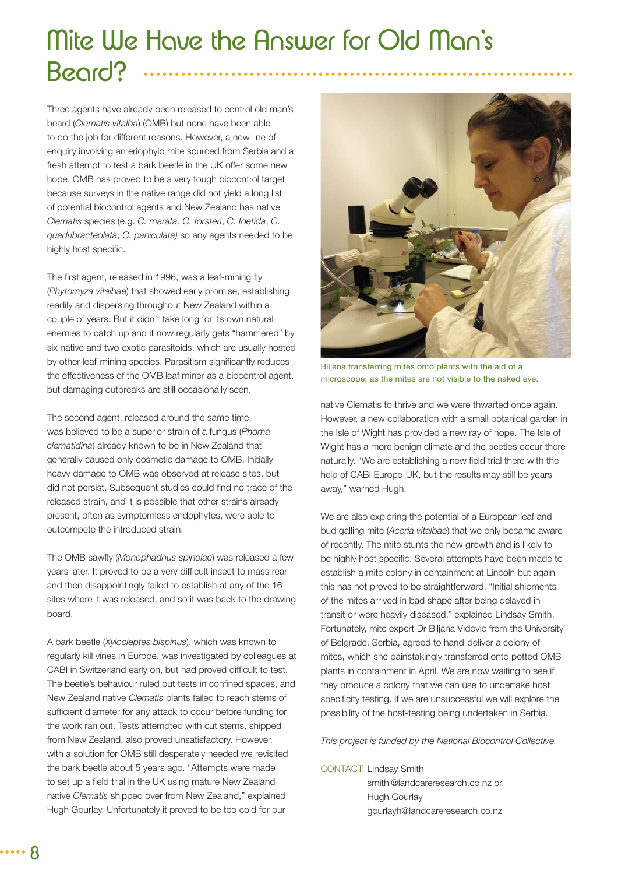# Mite We Have the Answer for Old Man's Beard?

Three agents have already been released to control old man's beard (*Clematis vitalba*) (OMB) but none have been able to do the job for different reasons. However, a new line of enquiry involving an eriophyid mite sourced from Serbia and a fresh attempt to test a bark beetle in the UK offer some new hope. OMB has proved to be a very tough biocontrol target because surveys in the native range did not yield a long list of potential biocontrol agents and New Zealand has native *Clematis* species (e.g. *C. marata*, *C. forsteri*, *C. foetida*, *C. quadribracteolata*, *C. paniculata)* so any agents needed to be highly host specific.

The first agent, released in 1996, was a leaf-mining fly (*Phytomyza vitalbae*) that showed early promise, establishing readily and dispersing throughout New Zealand within a couple of years. But it didn't take long for its own natural enemies to catch up and it now regularly gets "hammered" by six native and two exotic parasitoids, which are usually hosted by other leaf-mining species. Parasitism significantly reduces the effectiveness of the OMB leaf miner as a biocontrol agent, but damaging outbreaks are still occasionally seen.

The second agent, released around the same time, was believed to be a superior strain of a fungus (*Phoma clematidina*) already known to be in New Zealand that generally caused only cosmetic damage to OMB. Initially heavy damage to OMB was observed at release sites, but did not persist. Subsequent studies could find no trace of the released strain, and it is possible that other strains already present, often as symptomless endophytes, were able to outcompete the introduced strain.

The OMB sawfly (Monophadnus spinolae) was released a few years later. It proved to be a very difficult insect to mass rear and then disappointingly failed to establish at any of the 16 sites where it was released, and so it was back to the drawing board.

A bark beetle (*Xylocleptes bispinus*), which was known to regularly kill vines in Europe, was investigated by colleagues at CABI in Switzerland early on, but had proved difficult to test. The beetle's behaviour ruled out tests in confined spaces, and New Zealand native *Clematis* plants failed to reach stems of sufficient diameter for any attack to occur before funding for the work ran out. Tests attempted with cut stems, shipped from New Zealand, also proved unsatisfactory. However, with a solution for OMB still desperately needed we revisited the bark beetle about 5 years ago. "Attempts were made to set up a field trial in the UK using mature New Zealand native *Clematis* shipped over from New Zealand," explained Hugh Gourlay. Unfortunately it proved to be too cold for our



Biljana transferring mites onto plants with the aid of a microscope, as the mites are not visible to the naked eye.

native Clematis to thrive and we were thwarted once again. However, a new collaboration with a small botanical garden in the Isle of Wight has provided a new ray of hope. The Isle of Wight has a more benign climate and the beetles occur there naturally. "We are establishing a new field trial there with the help of CABI Europe-UK, but the results may still be years away," warned Hugh.

We are also exploring the potential of a European leaf and bud galling mite (*Aceria vitalbae*) that we only became aware of recently. The mite stunts the new growth and is likely to be highly host specific. Several attempts have been made to establish a mite colony in containment at Lincoln but again this has not proved to be straightforward. "Initial shipments of the mites arrived in bad shape after being delayed in transit or were heavily diseased," explained Lindsay Smith. Fortunately, mite expert Dr Biljana Vidovic from the University of Belgrade, Serbia, agreed to hand-deliver a colony of mites, which she painstakingly transferred onto potted OMB plants in containment in April. We are now waiting to see if they produce a colony that we can use to undertake host specificity testing. If we are unsuccessful we will explore the possibility of the host-testing being undertaken in Serbia.

*This project is funded by the National Biocontrol Collective.*

### CONTACT: Lindsay Smith

 [smithl@landcareresearch.co.nz or](mailto:smithl@landcareresearch.co.nz)  Hugh Gourlay [gourlayh@landcareresearch.co.nz](mailto:gourlayh@landcareresearch.co.nz)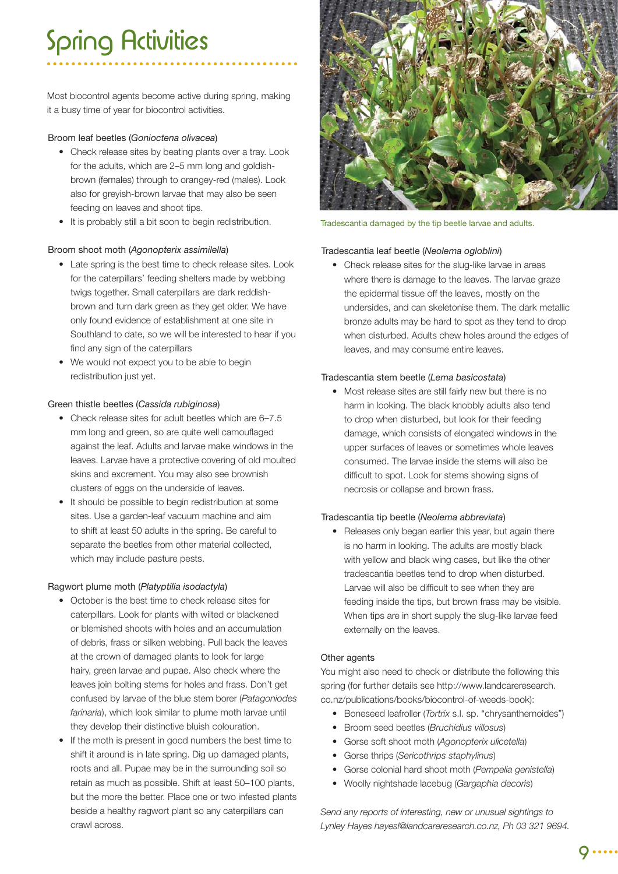# Spring Activities

Most biocontrol agents become active during spring, making it a busy time of year for biocontrol activities.

### Broom leaf beetles (*Gonioctena olivacea*)

- Check release sites by beating plants over a tray. Look for the adults, which are 2–5 mm long and goldishbrown (females) through to orangey-red (males). Look also for greyish-brown larvae that may also be seen feeding on leaves and shoot tips.
- It is probably still a bit soon to begin redistribution.

### Broom shoot moth (*Agonopterix assimilella*)

- Late spring is the best time to check release sites. Look for the caterpillars' feeding shelters made by webbing twigs together. Small caterpillars are dark reddishbrown and turn dark green as they get older. We have only found evidence of establishment at one site in Southland to date, so we will be interested to hear if you find any sign of the caterpillars
- We would not expect you to be able to begin redistribution just yet.

### Green thistle beetles (*Cassida rubiginosa*)

- Check release sites for adult beetles which are 6–7.5 mm long and green, so are quite well camouflaged against the leaf. Adults and larvae make windows in the leaves. Larvae have a protective covering of old moulted skins and excrement. You may also see brownish clusters of eggs on the underside of leaves.
- It should be possible to begin redistribution at some sites. Use a garden-leaf vacuum machine and aim to shift at least 50 adults in the spring. Be careful to separate the beetles from other material collected, which may include pasture pests.

### Ragwort plume moth (*Platyptilia isodactyla*)

- October is the best time to check release sites for caterpillars. Look for plants with wilted or blackened or blemished shoots with holes and an accumulation of debris, frass or silken webbing. Pull back the leaves at the crown of damaged plants to look for large hairy, green larvae and pupae. Also check where the leaves join bolting stems for holes and frass. Don't get confused by larvae of the blue stem borer (*Patagoniodes farinaria*), which look similar to plume moth larvae until they develop their distinctive bluish colouration.
- If the moth is present in good numbers the best time to shift it around is in late spring. Dig up damaged plants, roots and all. Pupae may be in the surrounding soil so retain as much as possible. Shift at least 50–100 plants, but the more the better. Place one or two infested plants beside a healthy ragwort plant so any caterpillars can crawl across.



Tradescantia damaged by the tip beetle larvae and adults.

### Tradescantia leaf beetle (*Neolema ogloblini*)

 • Check release sites for the slug-like larvae in areas where there is damage to the leaves. The larvae graze the epidermal tissue off the leaves, mostly on the undersides, and can skeletonise them. The dark metallic bronze adults may be hard to spot as they tend to drop when disturbed. Adults chew holes around the edges of leaves, and may consume entire leaves.

### Tradescantia stem beetle (*Lema basicostata*)

 • Most release sites are still fairly new but there is no harm in looking. The black knobbly adults also tend to drop when disturbed, but look for their feeding damage, which consists of elongated windows in the upper surfaces of leaves or sometimes whole leaves consumed. The larvae inside the stems will also be difficult to spot. Look for stems showing signs of necrosis or collapse and brown frass.

### Tradescantia tip beetle (*Neolema abbreviata*)

• Releases only began earlier this year, but again there is no harm in looking. The adults are mostly black with yellow and black wing cases, but like the other tradescantia beetles tend to drop when disturbed. Larvae will also be difficult to see when they are feeding inside the tips, but brown frass may be visible. When tips are in short supply the slug-like larvae feed externally on the leaves.

### Other agents

You might also need to check or distribute the following this spring (for further details see http://www.landcareresearch. co.nz/publications/books/biocontrol-of-weeds-book):

- Boneseed leafroller (*Tortrix* s.l. sp. "chrysanthemoides")
- Broom seed beetles (*Bruchidius villosus*)
- Gorse soft shoot moth (*Agonopterix ulicetella*)
- Gorse thrips (*Sericothrips staphylinus*)
- Gorse colonial hard shoot moth (*Pempelia genistella*)
- Woolly nightshade lacebug (*Gargaphia decoris*)

*Send any reports of interesting, new or unusual sightings to Lynley Hayes [hayesl@landcareresearch.co.nz, P](Mailto:hayesl@landcareresearch.co.nz)h 03 321 9694.*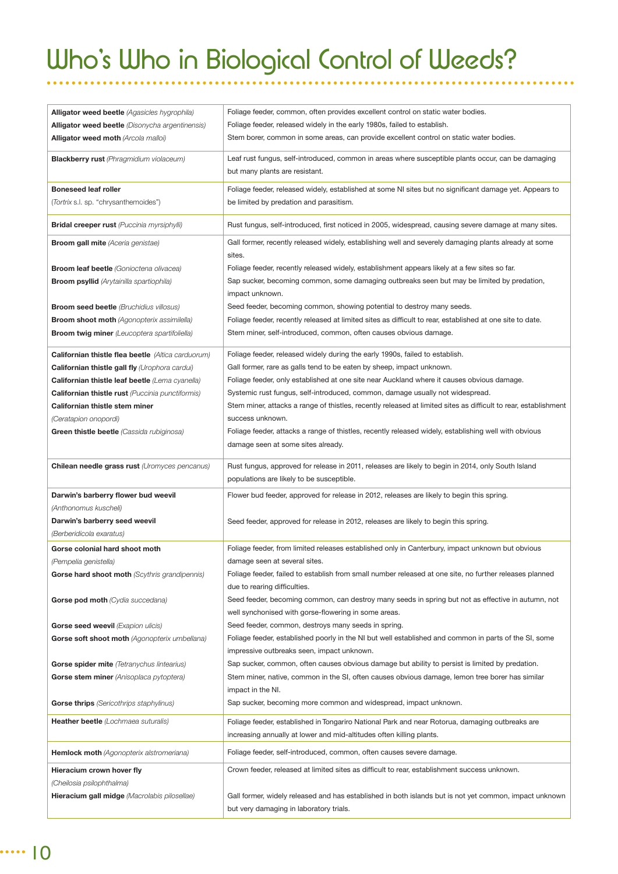# Who's Who in Biological Control of Weeds?

| Alligator weed beetle (Agasicles hygrophila)              | Foliage feeder, common, often provides excellent control on static water bodies.                                                              |
|-----------------------------------------------------------|-----------------------------------------------------------------------------------------------------------------------------------------------|
| <b>Alligator weed beetle</b> (Disonycha argentinensis)    | Foliage feeder, released widely in the early 1980s, failed to establish.                                                                      |
| Alligator weed moth (Arcola malloi)                       | Stem borer, common in some areas, can provide excellent control on static water bodies.                                                       |
| <b>Blackberry rust</b> (Phragmidium violaceum)            | Leaf rust fungus, self-introduced, common in areas where susceptible plants occur, can be damaging                                            |
|                                                           | but many plants are resistant.                                                                                                                |
| <b>Boneseed leaf roller</b>                               | Foliage feeder, released widely, established at some NI sites but no significant damage yet. Appears to                                       |
| (Tortrix s.l. sp. "chrysanthemoides")                     | be limited by predation and parasitism.                                                                                                       |
|                                                           |                                                                                                                                               |
| <b>Bridal creeper rust</b> (Puccinia myrsiphylli)         | Rust fungus, self-introduced, first noticed in 2005, widespread, causing severe damage at many sites.                                         |
| <b>Broom gall mite</b> (Aceria genistae)                  | Gall former, recently released widely, establishing well and severely damaging plants already at some                                         |
|                                                           | sites.                                                                                                                                        |
| <b>Broom leaf beetle</b> (Gonioctena olivacea)            | Foliage feeder, recently released widely, establishment appears likely at a few sites so far.                                                 |
| <b>Broom psyllid</b> (Arytainilla spartiophila)           | Sap sucker, becoming common, some damaging outbreaks seen but may be limited by predation,                                                    |
|                                                           | impact unknown.                                                                                                                               |
| <b>Broom seed beetle</b> (Bruchidius villosus)            | Seed feeder, becoming common, showing potential to destroy many seeds.                                                                        |
| <b>Broom shoot moth</b> (Agonopterix assimilella)         | Foliage feeder, recently released at limited sites as difficult to rear, established at one site to date.                                     |
| <b>Broom twig miner</b> (Leucoptera spartifoliella)       | Stem miner, self-introduced, common, often causes obvious damage.                                                                             |
| <b>Californian thistle flea beetle</b> (Altica carduorum) | Foliage feeder, released widely during the early 1990s, failed to establish.                                                                  |
| <b>Californian thistle gall fly (Urophora cardui)</b>     | Gall former, rare as galls tend to be eaten by sheep, impact unknown.                                                                         |
| Californian thistle leaf beetle (Lema cyanella)           | Foliage feeder, only established at one site near Auckland where it causes obvious damage.                                                    |
| <b>Californian thistle rust</b> (Puccinia punctiformis)   | Systemic rust fungus, self-introduced, common, damage usually not widespread.                                                                 |
| Californian thistle stem miner                            | Stem miner, attacks a range of thistles, recently released at limited sites as difficult to rear, establishment                               |
| (Ceratapion onopordi)                                     | success unknown.                                                                                                                              |
| Green thistle beetle (Cassida rubiginosa)                 | Foliage feeder, attacks a range of thistles, recently released widely, establishing well with obvious                                         |
|                                                           | damage seen at some sites already.                                                                                                            |
|                                                           |                                                                                                                                               |
|                                                           |                                                                                                                                               |
| Chilean needle grass rust (Uromyces pencanus)             | Rust fungus, approved for release in 2011, releases are likely to begin in 2014, only South Island                                            |
|                                                           | populations are likely to be susceptible.                                                                                                     |
| Darwin's barberry flower bud weevil                       | Flower bud feeder, approved for release in 2012, releases are likely to begin this spring.                                                    |
| (Anthonomus kuscheli)                                     |                                                                                                                                               |
| Darwin's barberry seed weevil                             | Seed feeder, approved for release in 2012, releases are likely to begin this spring.                                                          |
| (Berberidicola exaratus)                                  |                                                                                                                                               |
| Gorse colonial hard shoot moth                            | Foliage feeder, from limited releases established only in Canterbury, impact unknown but obvious                                              |
| (Pempelia genistella)                                     | damage seen at several sites.                                                                                                                 |
| Gorse hard shoot moth (Scythris grandipennis)             | Foliage feeder, failed to establish from small number released at one site, no further releases planned                                       |
|                                                           | due to rearing difficulties.                                                                                                                  |
| <b>Gorse pod moth</b> (Cydia succedana)                   | Seed feeder, becoming common, can destroy many seeds in spring but not as effective in autumn, not                                            |
|                                                           | well synchonised with gorse-flowering in some areas.                                                                                          |
| Gorse seed weevil (Exapion ulicis)                        | Seed feeder, common, destroys many seeds in spring.                                                                                           |
| Gorse soft shoot moth (Agonopterix umbellana)             | Foliage feeder, established poorly in the NI but well established and common in parts of the SI, some                                         |
|                                                           | impressive outbreaks seen, impact unknown.<br>Sap sucker, common, often causes obvious damage but ability to persist is limited by predation. |
| Gorse spider mite (Tetranychus lintearius)                |                                                                                                                                               |
| Gorse stem miner (Anisoplaca pytoptera)                   | Stem miner, native, common in the SI, often causes obvious damage, lemon tree borer has similar<br>impact in the NI.                          |
|                                                           | Sap sucker, becoming more common and widespread, impact unknown.                                                                              |
| <b>Gorse thrips</b> (Sericothrips staphylinus)            |                                                                                                                                               |
| <b>Heather beetle</b> (Lochmaea suturalis)                | Foliage feeder, established in Tongariro National Park and near Rotorua, damaging outbreaks are                                               |
|                                                           | increasing annually at lower and mid-altitudes often killing plants.                                                                          |
| Hemlock moth (Agonopterix alstromeriana)                  | Foliage feeder, self-introduced, common, often causes severe damage.                                                                          |
| Hieracium crown hover fly                                 | Crown feeder, released at limited sites as difficult to rear, establishment success unknown.                                                  |
| (Cheilosia psilophthalma)                                 |                                                                                                                                               |
| Hieracium gall midge (Macrolabis pilosellae)              | Gall former, widely released and has established in both islands but is not yet common, impact unknown                                        |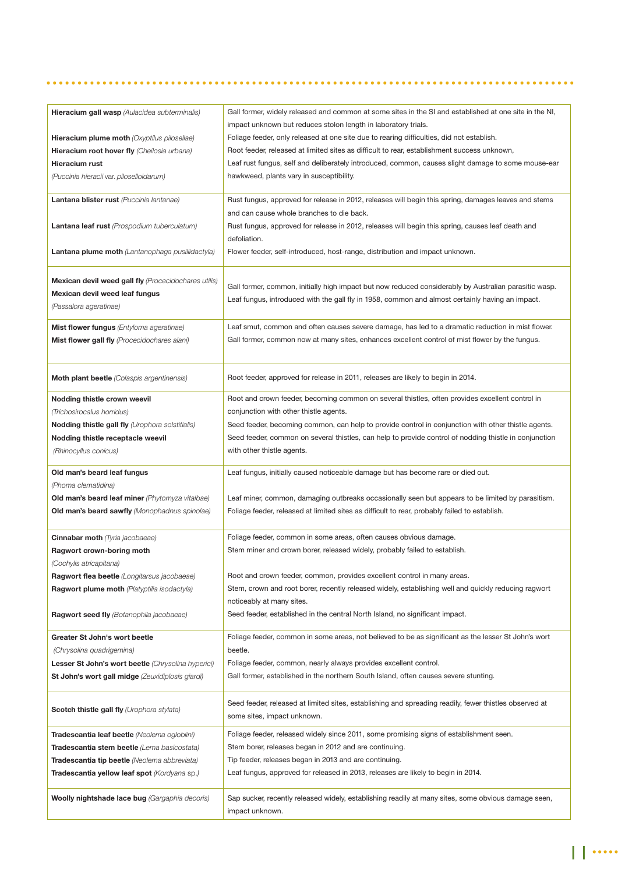|--|--|--|

| impact unknown but reduces stolon length in laboratory trials.<br>Foliage feeder, only released at one site due to rearing difficulties, did not establish.<br><b>Hieracium plume moth</b> (Oxyptilus pilosellae)<br>Root feeder, released at limited sites as difficult to rear, establishment success unknown,<br>Hieracium root hover fly (Cheilosia urbana)<br>Leaf rust fungus, self and deliberately introduced, common, causes slight damage to some mouse-ear<br>Hieracium rust<br>hawkweed, plants vary in susceptibility.<br>(Puccinia hieracii var. piloselloidarum)<br>Lantana blister rust (Puccinia lantanae)<br>Rust fungus, approved for release in 2012, releases will begin this spring, damages leaves and stems<br>and can cause whole branches to die back.<br>Lantana leaf rust (Prospodium tuberculatum)<br>Rust fungus, approved for release in 2012, releases will begin this spring, causes leaf death and<br>defoliation.<br>Flower feeder, self-introduced, host-range, distribution and impact unknown.<br><b>Lantana plume moth</b> (Lantanophaga pusillidactyla)<br>Mexican devil weed gall fly (Procecidochares utilis)<br>Gall former, common, initially high impact but now reduced considerably by Australian parasitic wasp.<br>Mexican devil weed leaf fungus<br>Leaf fungus, introduced with the gall fly in 1958, common and almost certainly having an impact.<br>(Passalora ageratinae)<br>Leaf smut, common and often causes severe damage, has led to a dramatic reduction in mist flower.<br>Mist flower fungus (Entyloma ageratinae)<br>Gall former, common now at many sites, enhances excellent control of mist flower by the fungus.<br>Mist flower gall fly (Procecidochares alani)<br>Moth plant beetle (Colaspis argentinensis)<br>Root feeder, approved for release in 2011, releases are likely to begin in 2014.<br>Root and crown feeder, becoming common on several thistles, often provides excellent control in<br>Nodding thistle crown weevil<br>conjunction with other thistle agents.<br>(Trichosirocalus horridus)<br>Nodding thistle gall fly (Urophora solstitialis)<br>Seed feeder, becoming common, can help to provide control in conjunction with other thistle agents.<br>Seed feeder, common on several thistles, can help to provide control of nodding thistle in conjunction<br>Nodding thistle receptacle weevil<br>with other thistle agents.<br>(Rhinocyllus conicus)<br>Old man's beard leaf fungus<br>Leaf fungus, initially caused noticeable damage but has become rare or died out.<br>(Phoma clematidina)<br>Old man's beard leaf miner (Phytomyza vitalbae)<br>Leaf miner, common, damaging outbreaks occasionally seen but appears to be limited by parasitism.<br><b>Old man's beard sawfly</b> (Monophadnus spinolae)<br>Foliage feeder, released at limited sites as difficult to rear, probably failed to establish.<br>Cinnabar moth (Tyria jacobaeae)<br>Foliage feeder, common in some areas, often causes obvious damage.<br>Ragwort crown-boring moth<br>Stem miner and crown borer, released widely, probably failed to establish.<br>(Cochylis atricapitana)<br>Root and crown feeder, common, provides excellent control in many areas.<br>Ragwort flea beetle (Longitarsus jacobaeae)<br>Stem, crown and root borer, recently released widely, establishing well and quickly reducing ragwort<br>Ragwort plume moth (Platyptilia isodactyla)<br>noticeably at many sites.<br>Seed feeder, established in the central North Island, no significant impact.<br><b>Ragwort seed fly</b> (Botanophila jacobaeae)<br>Foliage feeder, common in some areas, not believed to be as significant as the lesser St John's wort<br>Greater St John's wort beetle<br>beetle.<br>(Chrysolina quadrigemina)<br>Foliage feeder, common, nearly always provides excellent control.<br>Lesser St John's wort beetle (Chrysolina hyperici)<br>Gall former, established in the northern South Island, often causes severe stunting.<br>St John's wort gall midge (Zeuxidiplosis giardi)<br>Seed feeder, released at limited sites, establishing and spreading readily, fewer thistles observed at<br><b>Scotch thistle gall fly (Urophora stylata)</b><br>some sites, impact unknown.<br>Foliage feeder, released widely since 2011, some promising signs of establishment seen.<br>Tradescantia leaf beetle (Neolema ogloblini)<br>Stem borer, releases began in 2012 and are continuing.<br><b>Tradescantia stem beetle</b> (Lema basicostata)<br>Tip feeder, releases began in 2013 and are continuing.<br><b>Tradescantia tip beetle</b> (Neolema abbreviata)<br>Tradescantia yellow leaf spot (Kordyana sp.)<br>Leaf fungus, approved for released in 2013, releases are likely to begin in 2014.<br>Sap sucker, recently released widely, establishing readily at many sites, some obvious damage seen,<br><b>Woolly nightshade lace bug</b> (Gargaphia decoris)<br>impact unknown. | <b>Hieracium gall wasp</b> (Aulacidea subterminalis) | Gall former, widely released and common at some sites in the SI and established at one site in the NI, |
|--------------------------------------------------------------------------------------------------------------------------------------------------------------------------------------------------------------------------------------------------------------------------------------------------------------------------------------------------------------------------------------------------------------------------------------------------------------------------------------------------------------------------------------------------------------------------------------------------------------------------------------------------------------------------------------------------------------------------------------------------------------------------------------------------------------------------------------------------------------------------------------------------------------------------------------------------------------------------------------------------------------------------------------------------------------------------------------------------------------------------------------------------------------------------------------------------------------------------------------------------------------------------------------------------------------------------------------------------------------------------------------------------------------------------------------------------------------------------------------------------------------------------------------------------------------------------------------------------------------------------------------------------------------------------------------------------------------------------------------------------------------------------------------------------------------------------------------------------------------------------------------------------------------------------------------------------------------------------------------------------------------------------------------------------------------------------------------------------------------------------------------------------------------------------------------------------------------------------------------------------------------------------------------------------------------------------------------------------------------------------------------------------------------------------------------------------------------------------------------------------------------------------------------------------------------------------------------------------------------------------------------------------------------------------------------------------------------------------------------------------------------------------------------------------------------------------------------------------------------------------------------------------------------------------------------------------------------------------------------------------------------------------------------------------------------------------------------------------------------------------------------------------------------------------------------------------------------------------------------------------------------------------------------------------------------------------------------------------------------------------------------------------------------------------------------------------------------------------------------------------------------------------------------------------------------------------------------------------------------------------------------------------------------------------------------------------------------------------------------------------------------------------------------------------------------------------------------------------------------------------------------------------------------------------------------------------------------------------------------------------------------------------------------------------------------------------------------------------------------------------------------------------------------------------------------------------------------------------------------------------------------------------------------------------------------------------------------------------------------------------------------------------------------------------------------------------------------------------------------------------------------------------------------------------------------------------------------------------------------------------------------------------------------------------------------------------------------------------------------------------------------------------------------------------------------------------------------------------------------------------------------------------------------------------------------------------------------------------|------------------------------------------------------|--------------------------------------------------------------------------------------------------------|
|                                                                                                                                                                                                                                                                                                                                                                                                                                                                                                                                                                                                                                                                                                                                                                                                                                                                                                                                                                                                                                                                                                                                                                                                                                                                                                                                                                                                                                                                                                                                                                                                                                                                                                                                                                                                                                                                                                                                                                                                                                                                                                                                                                                                                                                                                                                                                                                                                                                                                                                                                                                                                                                                                                                                                                                                                                                                                                                                                                                                                                                                                                                                                                                                                                                                                                                                                                                                                                                                                                                                                                                                                                                                                                                                                                                                                                                                                                                                                                                                                                                                                                                                                                                                                                                                                                                                                                                                                                                                                                                                                                                                                                                                                                                                                                                                                                                                                                                                                                          |                                                      |                                                                                                        |
|                                                                                                                                                                                                                                                                                                                                                                                                                                                                                                                                                                                                                                                                                                                                                                                                                                                                                                                                                                                                                                                                                                                                                                                                                                                                                                                                                                                                                                                                                                                                                                                                                                                                                                                                                                                                                                                                                                                                                                                                                                                                                                                                                                                                                                                                                                                                                                                                                                                                                                                                                                                                                                                                                                                                                                                                                                                                                                                                                                                                                                                                                                                                                                                                                                                                                                                                                                                                                                                                                                                                                                                                                                                                                                                                                                                                                                                                                                                                                                                                                                                                                                                                                                                                                                                                                                                                                                                                                                                                                                                                                                                                                                                                                                                                                                                                                                                                                                                                                                          |                                                      |                                                                                                        |
|                                                                                                                                                                                                                                                                                                                                                                                                                                                                                                                                                                                                                                                                                                                                                                                                                                                                                                                                                                                                                                                                                                                                                                                                                                                                                                                                                                                                                                                                                                                                                                                                                                                                                                                                                                                                                                                                                                                                                                                                                                                                                                                                                                                                                                                                                                                                                                                                                                                                                                                                                                                                                                                                                                                                                                                                                                                                                                                                                                                                                                                                                                                                                                                                                                                                                                                                                                                                                                                                                                                                                                                                                                                                                                                                                                                                                                                                                                                                                                                                                                                                                                                                                                                                                                                                                                                                                                                                                                                                                                                                                                                                                                                                                                                                                                                                                                                                                                                                                                          |                                                      |                                                                                                        |
|                                                                                                                                                                                                                                                                                                                                                                                                                                                                                                                                                                                                                                                                                                                                                                                                                                                                                                                                                                                                                                                                                                                                                                                                                                                                                                                                                                                                                                                                                                                                                                                                                                                                                                                                                                                                                                                                                                                                                                                                                                                                                                                                                                                                                                                                                                                                                                                                                                                                                                                                                                                                                                                                                                                                                                                                                                                                                                                                                                                                                                                                                                                                                                                                                                                                                                                                                                                                                                                                                                                                                                                                                                                                                                                                                                                                                                                                                                                                                                                                                                                                                                                                                                                                                                                                                                                                                                                                                                                                                                                                                                                                                                                                                                                                                                                                                                                                                                                                                                          |                                                      |                                                                                                        |
|                                                                                                                                                                                                                                                                                                                                                                                                                                                                                                                                                                                                                                                                                                                                                                                                                                                                                                                                                                                                                                                                                                                                                                                                                                                                                                                                                                                                                                                                                                                                                                                                                                                                                                                                                                                                                                                                                                                                                                                                                                                                                                                                                                                                                                                                                                                                                                                                                                                                                                                                                                                                                                                                                                                                                                                                                                                                                                                                                                                                                                                                                                                                                                                                                                                                                                                                                                                                                                                                                                                                                                                                                                                                                                                                                                                                                                                                                                                                                                                                                                                                                                                                                                                                                                                                                                                                                                                                                                                                                                                                                                                                                                                                                                                                                                                                                                                                                                                                                                          |                                                      |                                                                                                        |
|                                                                                                                                                                                                                                                                                                                                                                                                                                                                                                                                                                                                                                                                                                                                                                                                                                                                                                                                                                                                                                                                                                                                                                                                                                                                                                                                                                                                                                                                                                                                                                                                                                                                                                                                                                                                                                                                                                                                                                                                                                                                                                                                                                                                                                                                                                                                                                                                                                                                                                                                                                                                                                                                                                                                                                                                                                                                                                                                                                                                                                                                                                                                                                                                                                                                                                                                                                                                                                                                                                                                                                                                                                                                                                                                                                                                                                                                                                                                                                                                                                                                                                                                                                                                                                                                                                                                                                                                                                                                                                                                                                                                                                                                                                                                                                                                                                                                                                                                                                          |                                                      |                                                                                                        |
|                                                                                                                                                                                                                                                                                                                                                                                                                                                                                                                                                                                                                                                                                                                                                                                                                                                                                                                                                                                                                                                                                                                                                                                                                                                                                                                                                                                                                                                                                                                                                                                                                                                                                                                                                                                                                                                                                                                                                                                                                                                                                                                                                                                                                                                                                                                                                                                                                                                                                                                                                                                                                                                                                                                                                                                                                                                                                                                                                                                                                                                                                                                                                                                                                                                                                                                                                                                                                                                                                                                                                                                                                                                                                                                                                                                                                                                                                                                                                                                                                                                                                                                                                                                                                                                                                                                                                                                                                                                                                                                                                                                                                                                                                                                                                                                                                                                                                                                                                                          |                                                      |                                                                                                        |
|                                                                                                                                                                                                                                                                                                                                                                                                                                                                                                                                                                                                                                                                                                                                                                                                                                                                                                                                                                                                                                                                                                                                                                                                                                                                                                                                                                                                                                                                                                                                                                                                                                                                                                                                                                                                                                                                                                                                                                                                                                                                                                                                                                                                                                                                                                                                                                                                                                                                                                                                                                                                                                                                                                                                                                                                                                                                                                                                                                                                                                                                                                                                                                                                                                                                                                                                                                                                                                                                                                                                                                                                                                                                                                                                                                                                                                                                                                                                                                                                                                                                                                                                                                                                                                                                                                                                                                                                                                                                                                                                                                                                                                                                                                                                                                                                                                                                                                                                                                          |                                                      |                                                                                                        |
|                                                                                                                                                                                                                                                                                                                                                                                                                                                                                                                                                                                                                                                                                                                                                                                                                                                                                                                                                                                                                                                                                                                                                                                                                                                                                                                                                                                                                                                                                                                                                                                                                                                                                                                                                                                                                                                                                                                                                                                                                                                                                                                                                                                                                                                                                                                                                                                                                                                                                                                                                                                                                                                                                                                                                                                                                                                                                                                                                                                                                                                                                                                                                                                                                                                                                                                                                                                                                                                                                                                                                                                                                                                                                                                                                                                                                                                                                                                                                                                                                                                                                                                                                                                                                                                                                                                                                                                                                                                                                                                                                                                                                                                                                                                                                                                                                                                                                                                                                                          |                                                      |                                                                                                        |
|                                                                                                                                                                                                                                                                                                                                                                                                                                                                                                                                                                                                                                                                                                                                                                                                                                                                                                                                                                                                                                                                                                                                                                                                                                                                                                                                                                                                                                                                                                                                                                                                                                                                                                                                                                                                                                                                                                                                                                                                                                                                                                                                                                                                                                                                                                                                                                                                                                                                                                                                                                                                                                                                                                                                                                                                                                                                                                                                                                                                                                                                                                                                                                                                                                                                                                                                                                                                                                                                                                                                                                                                                                                                                                                                                                                                                                                                                                                                                                                                                                                                                                                                                                                                                                                                                                                                                                                                                                                                                                                                                                                                                                                                                                                                                                                                                                                                                                                                                                          |                                                      |                                                                                                        |
|                                                                                                                                                                                                                                                                                                                                                                                                                                                                                                                                                                                                                                                                                                                                                                                                                                                                                                                                                                                                                                                                                                                                                                                                                                                                                                                                                                                                                                                                                                                                                                                                                                                                                                                                                                                                                                                                                                                                                                                                                                                                                                                                                                                                                                                                                                                                                                                                                                                                                                                                                                                                                                                                                                                                                                                                                                                                                                                                                                                                                                                                                                                                                                                                                                                                                                                                                                                                                                                                                                                                                                                                                                                                                                                                                                                                                                                                                                                                                                                                                                                                                                                                                                                                                                                                                                                                                                                                                                                                                                                                                                                                                                                                                                                                                                                                                                                                                                                                                                          |                                                      |                                                                                                        |
|                                                                                                                                                                                                                                                                                                                                                                                                                                                                                                                                                                                                                                                                                                                                                                                                                                                                                                                                                                                                                                                                                                                                                                                                                                                                                                                                                                                                                                                                                                                                                                                                                                                                                                                                                                                                                                                                                                                                                                                                                                                                                                                                                                                                                                                                                                                                                                                                                                                                                                                                                                                                                                                                                                                                                                                                                                                                                                                                                                                                                                                                                                                                                                                                                                                                                                                                                                                                                                                                                                                                                                                                                                                                                                                                                                                                                                                                                                                                                                                                                                                                                                                                                                                                                                                                                                                                                                                                                                                                                                                                                                                                                                                                                                                                                                                                                                                                                                                                                                          |                                                      |                                                                                                        |
|                                                                                                                                                                                                                                                                                                                                                                                                                                                                                                                                                                                                                                                                                                                                                                                                                                                                                                                                                                                                                                                                                                                                                                                                                                                                                                                                                                                                                                                                                                                                                                                                                                                                                                                                                                                                                                                                                                                                                                                                                                                                                                                                                                                                                                                                                                                                                                                                                                                                                                                                                                                                                                                                                                                                                                                                                                                                                                                                                                                                                                                                                                                                                                                                                                                                                                                                                                                                                                                                                                                                                                                                                                                                                                                                                                                                                                                                                                                                                                                                                                                                                                                                                                                                                                                                                                                                                                                                                                                                                                                                                                                                                                                                                                                                                                                                                                                                                                                                                                          |                                                      |                                                                                                        |
|                                                                                                                                                                                                                                                                                                                                                                                                                                                                                                                                                                                                                                                                                                                                                                                                                                                                                                                                                                                                                                                                                                                                                                                                                                                                                                                                                                                                                                                                                                                                                                                                                                                                                                                                                                                                                                                                                                                                                                                                                                                                                                                                                                                                                                                                                                                                                                                                                                                                                                                                                                                                                                                                                                                                                                                                                                                                                                                                                                                                                                                                                                                                                                                                                                                                                                                                                                                                                                                                                                                                                                                                                                                                                                                                                                                                                                                                                                                                                                                                                                                                                                                                                                                                                                                                                                                                                                                                                                                                                                                                                                                                                                                                                                                                                                                                                                                                                                                                                                          |                                                      |                                                                                                        |
|                                                                                                                                                                                                                                                                                                                                                                                                                                                                                                                                                                                                                                                                                                                                                                                                                                                                                                                                                                                                                                                                                                                                                                                                                                                                                                                                                                                                                                                                                                                                                                                                                                                                                                                                                                                                                                                                                                                                                                                                                                                                                                                                                                                                                                                                                                                                                                                                                                                                                                                                                                                                                                                                                                                                                                                                                                                                                                                                                                                                                                                                                                                                                                                                                                                                                                                                                                                                                                                                                                                                                                                                                                                                                                                                                                                                                                                                                                                                                                                                                                                                                                                                                                                                                                                                                                                                                                                                                                                                                                                                                                                                                                                                                                                                                                                                                                                                                                                                                                          |                                                      |                                                                                                        |
|                                                                                                                                                                                                                                                                                                                                                                                                                                                                                                                                                                                                                                                                                                                                                                                                                                                                                                                                                                                                                                                                                                                                                                                                                                                                                                                                                                                                                                                                                                                                                                                                                                                                                                                                                                                                                                                                                                                                                                                                                                                                                                                                                                                                                                                                                                                                                                                                                                                                                                                                                                                                                                                                                                                                                                                                                                                                                                                                                                                                                                                                                                                                                                                                                                                                                                                                                                                                                                                                                                                                                                                                                                                                                                                                                                                                                                                                                                                                                                                                                                                                                                                                                                                                                                                                                                                                                                                                                                                                                                                                                                                                                                                                                                                                                                                                                                                                                                                                                                          |                                                      |                                                                                                        |
|                                                                                                                                                                                                                                                                                                                                                                                                                                                                                                                                                                                                                                                                                                                                                                                                                                                                                                                                                                                                                                                                                                                                                                                                                                                                                                                                                                                                                                                                                                                                                                                                                                                                                                                                                                                                                                                                                                                                                                                                                                                                                                                                                                                                                                                                                                                                                                                                                                                                                                                                                                                                                                                                                                                                                                                                                                                                                                                                                                                                                                                                                                                                                                                                                                                                                                                                                                                                                                                                                                                                                                                                                                                                                                                                                                                                                                                                                                                                                                                                                                                                                                                                                                                                                                                                                                                                                                                                                                                                                                                                                                                                                                                                                                                                                                                                                                                                                                                                                                          |                                                      |                                                                                                        |
|                                                                                                                                                                                                                                                                                                                                                                                                                                                                                                                                                                                                                                                                                                                                                                                                                                                                                                                                                                                                                                                                                                                                                                                                                                                                                                                                                                                                                                                                                                                                                                                                                                                                                                                                                                                                                                                                                                                                                                                                                                                                                                                                                                                                                                                                                                                                                                                                                                                                                                                                                                                                                                                                                                                                                                                                                                                                                                                                                                                                                                                                                                                                                                                                                                                                                                                                                                                                                                                                                                                                                                                                                                                                                                                                                                                                                                                                                                                                                                                                                                                                                                                                                                                                                                                                                                                                                                                                                                                                                                                                                                                                                                                                                                                                                                                                                                                                                                                                                                          |                                                      |                                                                                                        |
|                                                                                                                                                                                                                                                                                                                                                                                                                                                                                                                                                                                                                                                                                                                                                                                                                                                                                                                                                                                                                                                                                                                                                                                                                                                                                                                                                                                                                                                                                                                                                                                                                                                                                                                                                                                                                                                                                                                                                                                                                                                                                                                                                                                                                                                                                                                                                                                                                                                                                                                                                                                                                                                                                                                                                                                                                                                                                                                                                                                                                                                                                                                                                                                                                                                                                                                                                                                                                                                                                                                                                                                                                                                                                                                                                                                                                                                                                                                                                                                                                                                                                                                                                                                                                                                                                                                                                                                                                                                                                                                                                                                                                                                                                                                                                                                                                                                                                                                                                                          |                                                      |                                                                                                        |
|                                                                                                                                                                                                                                                                                                                                                                                                                                                                                                                                                                                                                                                                                                                                                                                                                                                                                                                                                                                                                                                                                                                                                                                                                                                                                                                                                                                                                                                                                                                                                                                                                                                                                                                                                                                                                                                                                                                                                                                                                                                                                                                                                                                                                                                                                                                                                                                                                                                                                                                                                                                                                                                                                                                                                                                                                                                                                                                                                                                                                                                                                                                                                                                                                                                                                                                                                                                                                                                                                                                                                                                                                                                                                                                                                                                                                                                                                                                                                                                                                                                                                                                                                                                                                                                                                                                                                                                                                                                                                                                                                                                                                                                                                                                                                                                                                                                                                                                                                                          |                                                      |                                                                                                        |
|                                                                                                                                                                                                                                                                                                                                                                                                                                                                                                                                                                                                                                                                                                                                                                                                                                                                                                                                                                                                                                                                                                                                                                                                                                                                                                                                                                                                                                                                                                                                                                                                                                                                                                                                                                                                                                                                                                                                                                                                                                                                                                                                                                                                                                                                                                                                                                                                                                                                                                                                                                                                                                                                                                                                                                                                                                                                                                                                                                                                                                                                                                                                                                                                                                                                                                                                                                                                                                                                                                                                                                                                                                                                                                                                                                                                                                                                                                                                                                                                                                                                                                                                                                                                                                                                                                                                                                                                                                                                                                                                                                                                                                                                                                                                                                                                                                                                                                                                                                          |                                                      |                                                                                                        |
|                                                                                                                                                                                                                                                                                                                                                                                                                                                                                                                                                                                                                                                                                                                                                                                                                                                                                                                                                                                                                                                                                                                                                                                                                                                                                                                                                                                                                                                                                                                                                                                                                                                                                                                                                                                                                                                                                                                                                                                                                                                                                                                                                                                                                                                                                                                                                                                                                                                                                                                                                                                                                                                                                                                                                                                                                                                                                                                                                                                                                                                                                                                                                                                                                                                                                                                                                                                                                                                                                                                                                                                                                                                                                                                                                                                                                                                                                                                                                                                                                                                                                                                                                                                                                                                                                                                                                                                                                                                                                                                                                                                                                                                                                                                                                                                                                                                                                                                                                                          |                                                      |                                                                                                        |
|                                                                                                                                                                                                                                                                                                                                                                                                                                                                                                                                                                                                                                                                                                                                                                                                                                                                                                                                                                                                                                                                                                                                                                                                                                                                                                                                                                                                                                                                                                                                                                                                                                                                                                                                                                                                                                                                                                                                                                                                                                                                                                                                                                                                                                                                                                                                                                                                                                                                                                                                                                                                                                                                                                                                                                                                                                                                                                                                                                                                                                                                                                                                                                                                                                                                                                                                                                                                                                                                                                                                                                                                                                                                                                                                                                                                                                                                                                                                                                                                                                                                                                                                                                                                                                                                                                                                                                                                                                                                                                                                                                                                                                                                                                                                                                                                                                                                                                                                                                          |                                                      |                                                                                                        |
|                                                                                                                                                                                                                                                                                                                                                                                                                                                                                                                                                                                                                                                                                                                                                                                                                                                                                                                                                                                                                                                                                                                                                                                                                                                                                                                                                                                                                                                                                                                                                                                                                                                                                                                                                                                                                                                                                                                                                                                                                                                                                                                                                                                                                                                                                                                                                                                                                                                                                                                                                                                                                                                                                                                                                                                                                                                                                                                                                                                                                                                                                                                                                                                                                                                                                                                                                                                                                                                                                                                                                                                                                                                                                                                                                                                                                                                                                                                                                                                                                                                                                                                                                                                                                                                                                                                                                                                                                                                                                                                                                                                                                                                                                                                                                                                                                                                                                                                                                                          |                                                      |                                                                                                        |
|                                                                                                                                                                                                                                                                                                                                                                                                                                                                                                                                                                                                                                                                                                                                                                                                                                                                                                                                                                                                                                                                                                                                                                                                                                                                                                                                                                                                                                                                                                                                                                                                                                                                                                                                                                                                                                                                                                                                                                                                                                                                                                                                                                                                                                                                                                                                                                                                                                                                                                                                                                                                                                                                                                                                                                                                                                                                                                                                                                                                                                                                                                                                                                                                                                                                                                                                                                                                                                                                                                                                                                                                                                                                                                                                                                                                                                                                                                                                                                                                                                                                                                                                                                                                                                                                                                                                                                                                                                                                                                                                                                                                                                                                                                                                                                                                                                                                                                                                                                          |                                                      |                                                                                                        |
|                                                                                                                                                                                                                                                                                                                                                                                                                                                                                                                                                                                                                                                                                                                                                                                                                                                                                                                                                                                                                                                                                                                                                                                                                                                                                                                                                                                                                                                                                                                                                                                                                                                                                                                                                                                                                                                                                                                                                                                                                                                                                                                                                                                                                                                                                                                                                                                                                                                                                                                                                                                                                                                                                                                                                                                                                                                                                                                                                                                                                                                                                                                                                                                                                                                                                                                                                                                                                                                                                                                                                                                                                                                                                                                                                                                                                                                                                                                                                                                                                                                                                                                                                                                                                                                                                                                                                                                                                                                                                                                                                                                                                                                                                                                                                                                                                                                                                                                                                                          |                                                      |                                                                                                        |
|                                                                                                                                                                                                                                                                                                                                                                                                                                                                                                                                                                                                                                                                                                                                                                                                                                                                                                                                                                                                                                                                                                                                                                                                                                                                                                                                                                                                                                                                                                                                                                                                                                                                                                                                                                                                                                                                                                                                                                                                                                                                                                                                                                                                                                                                                                                                                                                                                                                                                                                                                                                                                                                                                                                                                                                                                                                                                                                                                                                                                                                                                                                                                                                                                                                                                                                                                                                                                                                                                                                                                                                                                                                                                                                                                                                                                                                                                                                                                                                                                                                                                                                                                                                                                                                                                                                                                                                                                                                                                                                                                                                                                                                                                                                                                                                                                                                                                                                                                                          |                                                      |                                                                                                        |
|                                                                                                                                                                                                                                                                                                                                                                                                                                                                                                                                                                                                                                                                                                                                                                                                                                                                                                                                                                                                                                                                                                                                                                                                                                                                                                                                                                                                                                                                                                                                                                                                                                                                                                                                                                                                                                                                                                                                                                                                                                                                                                                                                                                                                                                                                                                                                                                                                                                                                                                                                                                                                                                                                                                                                                                                                                                                                                                                                                                                                                                                                                                                                                                                                                                                                                                                                                                                                                                                                                                                                                                                                                                                                                                                                                                                                                                                                                                                                                                                                                                                                                                                                                                                                                                                                                                                                                                                                                                                                                                                                                                                                                                                                                                                                                                                                                                                                                                                                                          |                                                      |                                                                                                        |
|                                                                                                                                                                                                                                                                                                                                                                                                                                                                                                                                                                                                                                                                                                                                                                                                                                                                                                                                                                                                                                                                                                                                                                                                                                                                                                                                                                                                                                                                                                                                                                                                                                                                                                                                                                                                                                                                                                                                                                                                                                                                                                                                                                                                                                                                                                                                                                                                                                                                                                                                                                                                                                                                                                                                                                                                                                                                                                                                                                                                                                                                                                                                                                                                                                                                                                                                                                                                                                                                                                                                                                                                                                                                                                                                                                                                                                                                                                                                                                                                                                                                                                                                                                                                                                                                                                                                                                                                                                                                                                                                                                                                                                                                                                                                                                                                                                                                                                                                                                          |                                                      |                                                                                                        |
|                                                                                                                                                                                                                                                                                                                                                                                                                                                                                                                                                                                                                                                                                                                                                                                                                                                                                                                                                                                                                                                                                                                                                                                                                                                                                                                                                                                                                                                                                                                                                                                                                                                                                                                                                                                                                                                                                                                                                                                                                                                                                                                                                                                                                                                                                                                                                                                                                                                                                                                                                                                                                                                                                                                                                                                                                                                                                                                                                                                                                                                                                                                                                                                                                                                                                                                                                                                                                                                                                                                                                                                                                                                                                                                                                                                                                                                                                                                                                                                                                                                                                                                                                                                                                                                                                                                                                                                                                                                                                                                                                                                                                                                                                                                                                                                                                                                                                                                                                                          |                                                      |                                                                                                        |
|                                                                                                                                                                                                                                                                                                                                                                                                                                                                                                                                                                                                                                                                                                                                                                                                                                                                                                                                                                                                                                                                                                                                                                                                                                                                                                                                                                                                                                                                                                                                                                                                                                                                                                                                                                                                                                                                                                                                                                                                                                                                                                                                                                                                                                                                                                                                                                                                                                                                                                                                                                                                                                                                                                                                                                                                                                                                                                                                                                                                                                                                                                                                                                                                                                                                                                                                                                                                                                                                                                                                                                                                                                                                                                                                                                                                                                                                                                                                                                                                                                                                                                                                                                                                                                                                                                                                                                                                                                                                                                                                                                                                                                                                                                                                                                                                                                                                                                                                                                          |                                                      |                                                                                                        |
|                                                                                                                                                                                                                                                                                                                                                                                                                                                                                                                                                                                                                                                                                                                                                                                                                                                                                                                                                                                                                                                                                                                                                                                                                                                                                                                                                                                                                                                                                                                                                                                                                                                                                                                                                                                                                                                                                                                                                                                                                                                                                                                                                                                                                                                                                                                                                                                                                                                                                                                                                                                                                                                                                                                                                                                                                                                                                                                                                                                                                                                                                                                                                                                                                                                                                                                                                                                                                                                                                                                                                                                                                                                                                                                                                                                                                                                                                                                                                                                                                                                                                                                                                                                                                                                                                                                                                                                                                                                                                                                                                                                                                                                                                                                                                                                                                                                                                                                                                                          |                                                      |                                                                                                        |
|                                                                                                                                                                                                                                                                                                                                                                                                                                                                                                                                                                                                                                                                                                                                                                                                                                                                                                                                                                                                                                                                                                                                                                                                                                                                                                                                                                                                                                                                                                                                                                                                                                                                                                                                                                                                                                                                                                                                                                                                                                                                                                                                                                                                                                                                                                                                                                                                                                                                                                                                                                                                                                                                                                                                                                                                                                                                                                                                                                                                                                                                                                                                                                                                                                                                                                                                                                                                                                                                                                                                                                                                                                                                                                                                                                                                                                                                                                                                                                                                                                                                                                                                                                                                                                                                                                                                                                                                                                                                                                                                                                                                                                                                                                                                                                                                                                                                                                                                                                          |                                                      |                                                                                                        |
|                                                                                                                                                                                                                                                                                                                                                                                                                                                                                                                                                                                                                                                                                                                                                                                                                                                                                                                                                                                                                                                                                                                                                                                                                                                                                                                                                                                                                                                                                                                                                                                                                                                                                                                                                                                                                                                                                                                                                                                                                                                                                                                                                                                                                                                                                                                                                                                                                                                                                                                                                                                                                                                                                                                                                                                                                                                                                                                                                                                                                                                                                                                                                                                                                                                                                                                                                                                                                                                                                                                                                                                                                                                                                                                                                                                                                                                                                                                                                                                                                                                                                                                                                                                                                                                                                                                                                                                                                                                                                                                                                                                                                                                                                                                                                                                                                                                                                                                                                                          |                                                      |                                                                                                        |
|                                                                                                                                                                                                                                                                                                                                                                                                                                                                                                                                                                                                                                                                                                                                                                                                                                                                                                                                                                                                                                                                                                                                                                                                                                                                                                                                                                                                                                                                                                                                                                                                                                                                                                                                                                                                                                                                                                                                                                                                                                                                                                                                                                                                                                                                                                                                                                                                                                                                                                                                                                                                                                                                                                                                                                                                                                                                                                                                                                                                                                                                                                                                                                                                                                                                                                                                                                                                                                                                                                                                                                                                                                                                                                                                                                                                                                                                                                                                                                                                                                                                                                                                                                                                                                                                                                                                                                                                                                                                                                                                                                                                                                                                                                                                                                                                                                                                                                                                                                          |                                                      |                                                                                                        |
|                                                                                                                                                                                                                                                                                                                                                                                                                                                                                                                                                                                                                                                                                                                                                                                                                                                                                                                                                                                                                                                                                                                                                                                                                                                                                                                                                                                                                                                                                                                                                                                                                                                                                                                                                                                                                                                                                                                                                                                                                                                                                                                                                                                                                                                                                                                                                                                                                                                                                                                                                                                                                                                                                                                                                                                                                                                                                                                                                                                                                                                                                                                                                                                                                                                                                                                                                                                                                                                                                                                                                                                                                                                                                                                                                                                                                                                                                                                                                                                                                                                                                                                                                                                                                                                                                                                                                                                                                                                                                                                                                                                                                                                                                                                                                                                                                                                                                                                                                                          |                                                      |                                                                                                        |
|                                                                                                                                                                                                                                                                                                                                                                                                                                                                                                                                                                                                                                                                                                                                                                                                                                                                                                                                                                                                                                                                                                                                                                                                                                                                                                                                                                                                                                                                                                                                                                                                                                                                                                                                                                                                                                                                                                                                                                                                                                                                                                                                                                                                                                                                                                                                                                                                                                                                                                                                                                                                                                                                                                                                                                                                                                                                                                                                                                                                                                                                                                                                                                                                                                                                                                                                                                                                                                                                                                                                                                                                                                                                                                                                                                                                                                                                                                                                                                                                                                                                                                                                                                                                                                                                                                                                                                                                                                                                                                                                                                                                                                                                                                                                                                                                                                                                                                                                                                          |                                                      |                                                                                                        |
|                                                                                                                                                                                                                                                                                                                                                                                                                                                                                                                                                                                                                                                                                                                                                                                                                                                                                                                                                                                                                                                                                                                                                                                                                                                                                                                                                                                                                                                                                                                                                                                                                                                                                                                                                                                                                                                                                                                                                                                                                                                                                                                                                                                                                                                                                                                                                                                                                                                                                                                                                                                                                                                                                                                                                                                                                                                                                                                                                                                                                                                                                                                                                                                                                                                                                                                                                                                                                                                                                                                                                                                                                                                                                                                                                                                                                                                                                                                                                                                                                                                                                                                                                                                                                                                                                                                                                                                                                                                                                                                                                                                                                                                                                                                                                                                                                                                                                                                                                                          |                                                      |                                                                                                        |
|                                                                                                                                                                                                                                                                                                                                                                                                                                                                                                                                                                                                                                                                                                                                                                                                                                                                                                                                                                                                                                                                                                                                                                                                                                                                                                                                                                                                                                                                                                                                                                                                                                                                                                                                                                                                                                                                                                                                                                                                                                                                                                                                                                                                                                                                                                                                                                                                                                                                                                                                                                                                                                                                                                                                                                                                                                                                                                                                                                                                                                                                                                                                                                                                                                                                                                                                                                                                                                                                                                                                                                                                                                                                                                                                                                                                                                                                                                                                                                                                                                                                                                                                                                                                                                                                                                                                                                                                                                                                                                                                                                                                                                                                                                                                                                                                                                                                                                                                                                          |                                                      |                                                                                                        |
|                                                                                                                                                                                                                                                                                                                                                                                                                                                                                                                                                                                                                                                                                                                                                                                                                                                                                                                                                                                                                                                                                                                                                                                                                                                                                                                                                                                                                                                                                                                                                                                                                                                                                                                                                                                                                                                                                                                                                                                                                                                                                                                                                                                                                                                                                                                                                                                                                                                                                                                                                                                                                                                                                                                                                                                                                                                                                                                                                                                                                                                                                                                                                                                                                                                                                                                                                                                                                                                                                                                                                                                                                                                                                                                                                                                                                                                                                                                                                                                                                                                                                                                                                                                                                                                                                                                                                                                                                                                                                                                                                                                                                                                                                                                                                                                                                                                                                                                                                                          |                                                      |                                                                                                        |
|                                                                                                                                                                                                                                                                                                                                                                                                                                                                                                                                                                                                                                                                                                                                                                                                                                                                                                                                                                                                                                                                                                                                                                                                                                                                                                                                                                                                                                                                                                                                                                                                                                                                                                                                                                                                                                                                                                                                                                                                                                                                                                                                                                                                                                                                                                                                                                                                                                                                                                                                                                                                                                                                                                                                                                                                                                                                                                                                                                                                                                                                                                                                                                                                                                                                                                                                                                                                                                                                                                                                                                                                                                                                                                                                                                                                                                                                                                                                                                                                                                                                                                                                                                                                                                                                                                                                                                                                                                                                                                                                                                                                                                                                                                                                                                                                                                                                                                                                                                          |                                                      |                                                                                                        |
|                                                                                                                                                                                                                                                                                                                                                                                                                                                                                                                                                                                                                                                                                                                                                                                                                                                                                                                                                                                                                                                                                                                                                                                                                                                                                                                                                                                                                                                                                                                                                                                                                                                                                                                                                                                                                                                                                                                                                                                                                                                                                                                                                                                                                                                                                                                                                                                                                                                                                                                                                                                                                                                                                                                                                                                                                                                                                                                                                                                                                                                                                                                                                                                                                                                                                                                                                                                                                                                                                                                                                                                                                                                                                                                                                                                                                                                                                                                                                                                                                                                                                                                                                                                                                                                                                                                                                                                                                                                                                                                                                                                                                                                                                                                                                                                                                                                                                                                                                                          |                                                      |                                                                                                        |
|                                                                                                                                                                                                                                                                                                                                                                                                                                                                                                                                                                                                                                                                                                                                                                                                                                                                                                                                                                                                                                                                                                                                                                                                                                                                                                                                                                                                                                                                                                                                                                                                                                                                                                                                                                                                                                                                                                                                                                                                                                                                                                                                                                                                                                                                                                                                                                                                                                                                                                                                                                                                                                                                                                                                                                                                                                                                                                                                                                                                                                                                                                                                                                                                                                                                                                                                                                                                                                                                                                                                                                                                                                                                                                                                                                                                                                                                                                                                                                                                                                                                                                                                                                                                                                                                                                                                                                                                                                                                                                                                                                                                                                                                                                                                                                                                                                                                                                                                                                          |                                                      |                                                                                                        |
|                                                                                                                                                                                                                                                                                                                                                                                                                                                                                                                                                                                                                                                                                                                                                                                                                                                                                                                                                                                                                                                                                                                                                                                                                                                                                                                                                                                                                                                                                                                                                                                                                                                                                                                                                                                                                                                                                                                                                                                                                                                                                                                                                                                                                                                                                                                                                                                                                                                                                                                                                                                                                                                                                                                                                                                                                                                                                                                                                                                                                                                                                                                                                                                                                                                                                                                                                                                                                                                                                                                                                                                                                                                                                                                                                                                                                                                                                                                                                                                                                                                                                                                                                                                                                                                                                                                                                                                                                                                                                                                                                                                                                                                                                                                                                                                                                                                                                                                                                                          |                                                      |                                                                                                        |
|                                                                                                                                                                                                                                                                                                                                                                                                                                                                                                                                                                                                                                                                                                                                                                                                                                                                                                                                                                                                                                                                                                                                                                                                                                                                                                                                                                                                                                                                                                                                                                                                                                                                                                                                                                                                                                                                                                                                                                                                                                                                                                                                                                                                                                                                                                                                                                                                                                                                                                                                                                                                                                                                                                                                                                                                                                                                                                                                                                                                                                                                                                                                                                                                                                                                                                                                                                                                                                                                                                                                                                                                                                                                                                                                                                                                                                                                                                                                                                                                                                                                                                                                                                                                                                                                                                                                                                                                                                                                                                                                                                                                                                                                                                                                                                                                                                                                                                                                                                          |                                                      |                                                                                                        |
|                                                                                                                                                                                                                                                                                                                                                                                                                                                                                                                                                                                                                                                                                                                                                                                                                                                                                                                                                                                                                                                                                                                                                                                                                                                                                                                                                                                                                                                                                                                                                                                                                                                                                                                                                                                                                                                                                                                                                                                                                                                                                                                                                                                                                                                                                                                                                                                                                                                                                                                                                                                                                                                                                                                                                                                                                                                                                                                                                                                                                                                                                                                                                                                                                                                                                                                                                                                                                                                                                                                                                                                                                                                                                                                                                                                                                                                                                                                                                                                                                                                                                                                                                                                                                                                                                                                                                                                                                                                                                                                                                                                                                                                                                                                                                                                                                                                                                                                                                                          |                                                      |                                                                                                        |